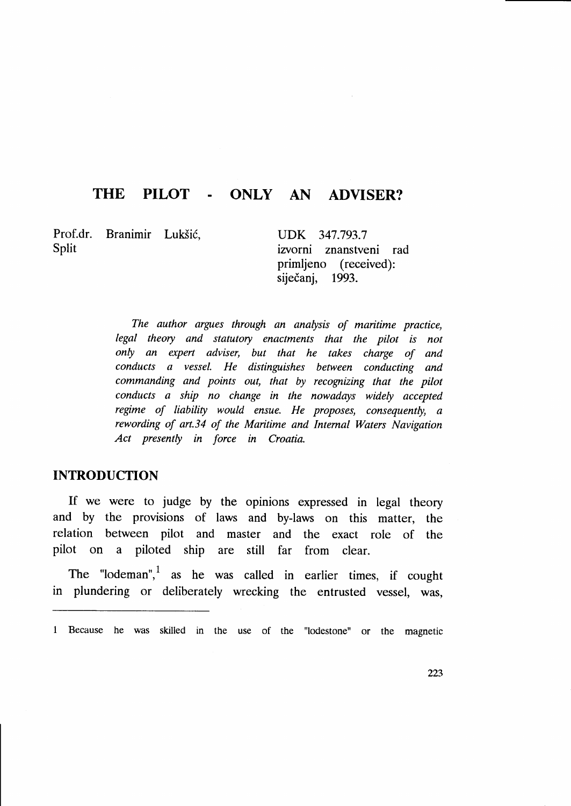# THE PILOT - ONLY AN ADVISER?

Prof.dr. Branimir Lukšić, Split

UDK 347.793.7 izvorni znanstveni rad primljeno (received): siječanj, 1993.

The author argues through an analysis of maritime practice, legal theory and statutory enactments that the pilot is not only an expert adviser, but that he takes charge of and conducts a vessel. He distinguishes between conducting and commanding and points out, that by recognizing that the pilot conducts a ship no change in the nowadays widely accepted regime of liability would ensue. He proposes, consequently, a rewording of art.34 of the Maritime and Intemal Waters Navigation Act presently in force in Croatia.

# INTRODUCTION

If we were to judge by the opinions expressed in legal theory and by the provisions of laws and by-laws on this matter, the relation between pilot and master and the exact role of the pilot on a piloted ship are still far from clear.

The "lodeman", as he was called in earlier times, if cought in plundering or deliberately wrecking the entrusted vessel, was,

<sup>1</sup> Because he was skilled in the use of the "lodestone" or the magnetic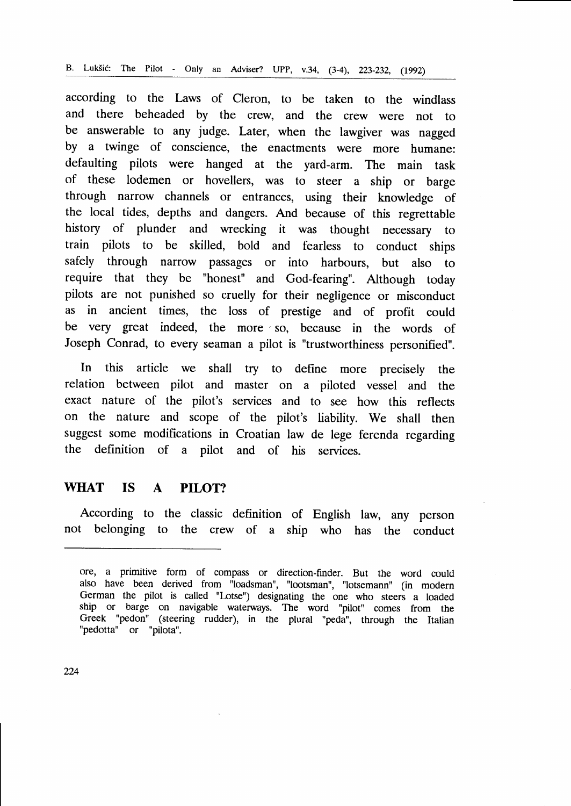according to the Laws of Cleron, to be taken to the windlass and there beheaded by the crew, and the crew were not to be answerable to any judge. Later, when the lawgiver was nagged by a twinge of conscience, the enactments were more humane: defaulting pilots were hanged at the yard-arm. The main task of these lodemen or hovellers, was to steer a ship or barge through narrow channels or entrances, using their knowledge of the local tides, depths and dangers. And because of this regrettable history of plunder and wrecking it was thought necessary to train pilots to be skilled, bold and fearless to conduct ships safely through narrow passages or into harbours, but also to require that they be "honest" and God-fearing". Although today pilots are not punished so cruelly for their negligence or misconduct as in ancient times, the loss of prestige and of profit could be very great indeed, the more so, because in the words of Joseph Conrad, to every seaman a pilot is "trustworthiness personified".

In this article we shall try to define more precisely the relation between pilot and master on a piloted vessel and the exact nature of the pilot's services and to see how this reflects on the nature and scope of the pilot's liability. We shall then suggest some modifications in Croatian law de lege ferenda regarding the definition of a pilot and of his services.

## WHAT IS A PILOT?

According to the classic definition of English law, any person not belonging to the crew of a ship who has the conduct

ore, a primitive form of compass or direction-finder. But the word could also have been derived from "loadsman", "lootsman", "lotsemann" (in modern German the pilot is called "Lotse") designating the one who steers a loaded ship or barge on navigable waterways. The word "pilot" comes from the Greek "pedon" (steering rudder), in the plural "peda", through the Italian "pedotta" or "pilota".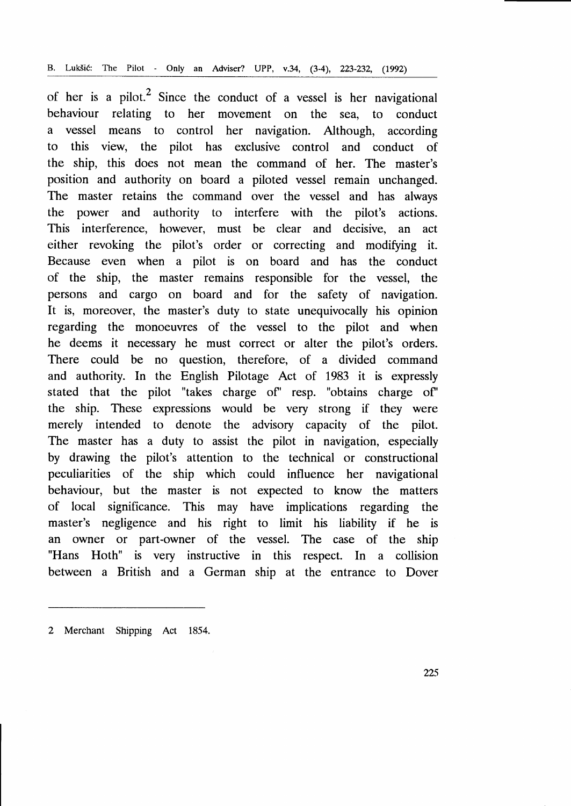of her is a pilot.<sup>2</sup> Since the conduct of a vessel is her navigational behaviour relating to her movement on the sea, to conduct a vessel means to control her navigation. Although, according to this view, the pilot has exclusive control and conduct of the ship, this does not mean the command of her. The master's position and authority on board a piloted vessel remain unchanged. The master retains the command over the vessel and has always the power and authority to interfere with the pilot's actions. This interference, however, must be clear and decisive, an act either revoking the pilot's order or correcting and modifying it. Because even when a pilot is on board and has the conduct of the ship, the master remains responsible for the vessel, the persons and cargo on board and for the safety of navigation. It is, moreover, the master's duty to state unequivocally his opinion regarding the monoeuvres of the vessel to the pilot and when he deems it necessary he must correct or alter the pilot's orders. There could be no question, therefore, of a divided command and authority. In the English Pilotage Act of 1983 it is expressly stated that the pilot "takes charge of' resp. "obtains charge of' the ship. These expressions would be very strong if they were merely intended to denote the advisory capacity of the pilot. The master has a duty to assist the pilot in navigation, especially by drawing the pilot's attention to the technical or constructional peculiarities of the ship which could influence her navigational behaviour, but the master is not expected to know the matters of local significance. This may have implications regarding the master's negligence and his right to limit his liability if he is an owner or part-owner of the vessel. The case of the ship "Hans Hoth" is very instructive in this respect. In a collision between a British and a German ship at the entrance to Dover

<sup>2</sup> Merchant Shipping Act 1854.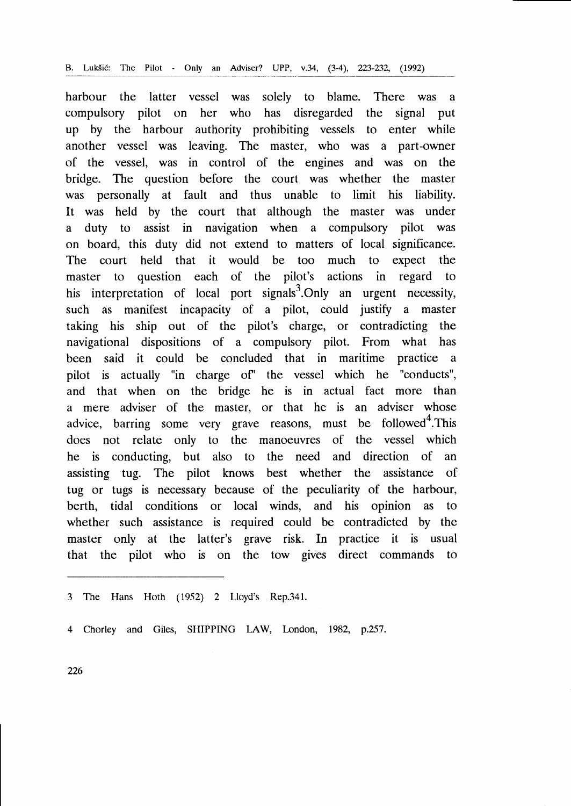harbour the latter vessel was solely to blame. There was <sup>a</sup> compulsory pilot on her who has disregarded the signal put up by the harbour authority prohibiting vessels to enter while another vessel was leaving. The master, who was a part-owner of the vessel, was in control of the engines and was on the bridge. The question before the court was whether the master was personally at fault and thus unable to limit his liability. It was held by the court that although the master was under a duty to assist in navigation when a compulsory pilot was on board, this duty did not extend to matters of local significance. The court held that it would be too much to expect the master to question each of the pilot's actions in regard to his interpretation of local port signals<sup>3</sup>. Only an urgent necessity, such as manifest incapacity of a pilot, could justify a master taking his ship out of the pilot's charge, or contradicting the navigational dispositions of a compulsory pilot. From what has been said it could be concluded that in maritime practice <sup>a</sup> pilot is actually "in charge of" the vessel which he "conducts", and that when on the bridge he is in actual fact more than a mere adviser of the master, or that he is an adviser whose advice, barring some very grave reasons, must be followed<sup>4</sup>. This does not relate only to the manoeuvres of the vessel which he is conducting, but also to the need and direction of an assisting tug. The pilot knows best whether the assistance of tug or tugs is necessary because of the peculiarity of the harbour, berth, tidal conditions or local winds, and his opinion as to whether such assistance is required could be contradicted by the master only at the latter's grave risk. In practice it is usual that the pilot who is on the tow gives direct commands to

3 The Hans Hoth (1952) 2 Lloyd's Rep.341.

4 Chorley and Giles, SHIPPING LAW, London, 1982, p.257.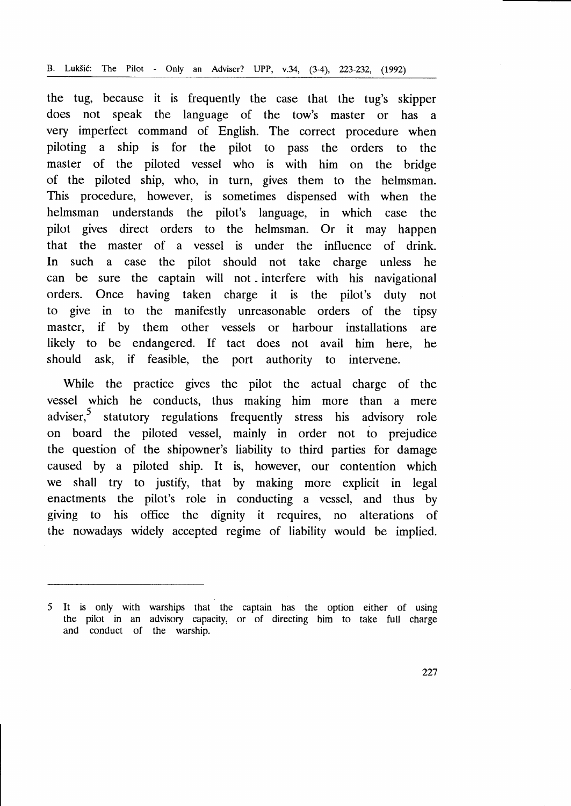the tug, because it is frequently the case that the tug's skipper does not speak the language of the tow's master or has <sup>a</sup> very imperfect command of English. The correct procedure when piloting a ship is for the pilot to pass the orders to the master of the piloted vessel who is with him on the bridge of the piloted ship, who, in turn, gives them to the helmsman. This procedure, however, is sometimes dispensed with when the helmsman understands the pilot's language, in which case the pilot gives direct orders to the helmsman. Or it may happen that the master of a vessel is under the influence of drink. In such a case the pilot should not take charge unless he can be sure the captain will not interfere with his navigational orders. Once having taken charge it is the pilot's duty not to give in to the manifestly unreasonable orders of the tipsy master, if by them other vessels or harbour installations are likely to be endangered. If tact does not avail him here, he should ask, if feasible, the port authority to intervene.

While the practice gives the pilot the actual charge of the vessel which he conducts, thus making him more than a mere adviser,<sup>5</sup> statutory regulations frequently stress his advisory role on board the piloted vessel, mainly in order not to prejudice the question of the shipowner's liability to third parties for damage caused by a piloted ship. It is, however, our contention which we shall try to justify, that by making more explicit in legal enactments the pilot's role in conducting a vessel, and thus by giving to his office the dignity it requires, no alterations of the nowadays widely accepted regime of liability would be implied.

It is only with warships that the captain has the option either of using the pilot in an advisory capacity, or of directing him to take full charge and conduct of the warship.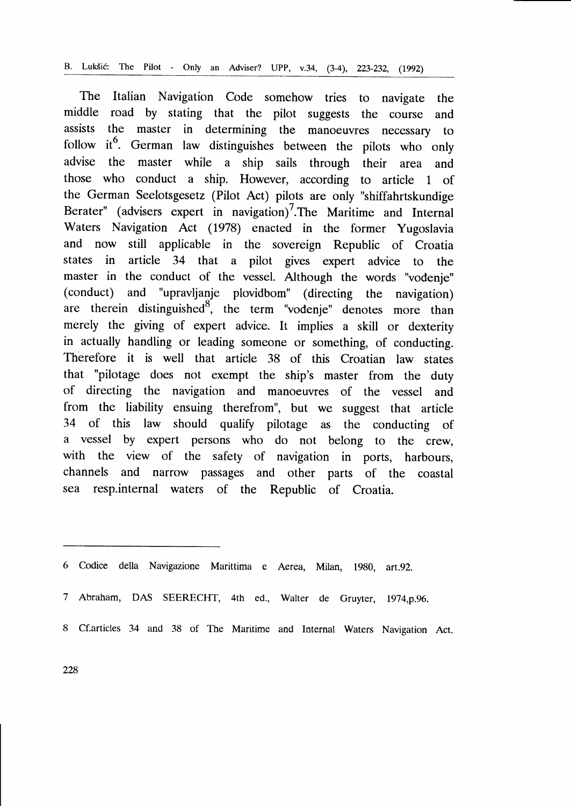The Italian Navigation Code somehow tries to navigate the middle road by stating that the pilot suggests the course and assists the master in determining the manoeuvres necessary to follow it<sup>6</sup>. German law distinguishes between the pilots who only advise the master while a ship sails through their area and those who conduct a ship. However, according to article 1 of the German Seelotsgesetz (Pilot Act) pilots are only "shiffahrtskundige Berater" (advisers expert in navigation)<sup>7</sup>. The Maritime and Internal Waters Navigation Act (1978) enacted in the former Yugoslavia and now still applicable in the sovereign Republic of Croatia states in article 34 that a pilot gives expert advice to the master in the conduct of the vessel. Although the words "vodenje" (conduct) and "upravljanje plovidbom" (directing the navigation) are therein distinguished<sup>8</sup>, the term "vodenje" denotes more than merely the giving of expert advice. It implies a skill or dexterity in actually handling or leading someone or something, of conducting. Therefore it is well that article 38 of this Croatian law states that "pilotage does not exempt the ship's master from the duty of directing the navigation and manoeuvres of the vessel and from the liability ensuing therefrom", but we suggest that article 34 of this law should qualify pilotage as the conducting of a vessel by expert persons who do not belong to the crew, with the view of the safety of navigation in ports, harbours, channels and narrow passages and other parts of the coastal sea resp.internal waters of the Republic of Croatia.

- 7 Abraham, DAS SEERECHT, 4th ed., Walter de Gruyter, 1974,p.96.
- 8 Cf.articles 34 and 38 of The Maritime and Internal Waters Navigation Act.

<sup>6</sup> codice della Navigazione Marittima e Aerea, Milan, 1980, art.9z.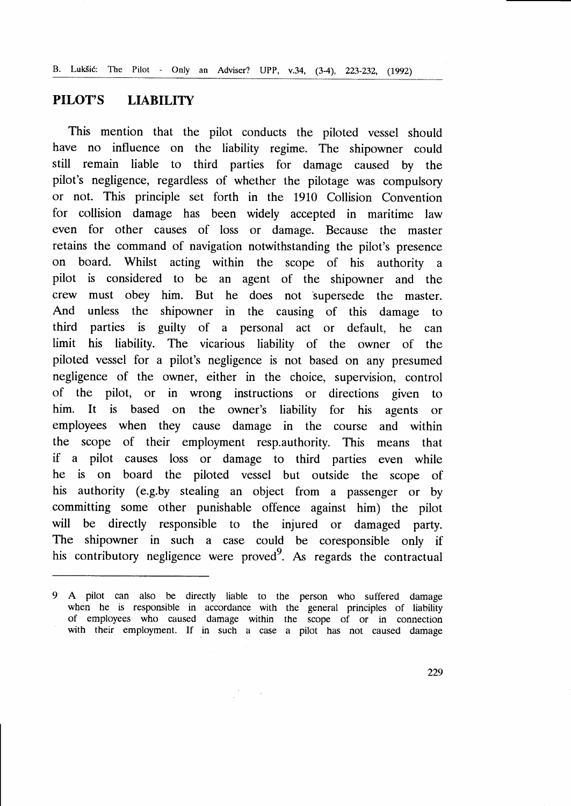# PILOT'S LIABILITY

This mention that the pilot conducts the piloted vessel should have no influence on the liability regime. The shipowner could still remain liable to third parties for damage caused by the pilot's negligence, regardless of whether the pilotage was compulsory or not. This principle set forth in the 1910 Collision Convention for collision damage has been widely accepted in maritime law even for other causes of loss or damage. Because the master retains the command of navigation notwithstanding the pilot's presence on board. Whilst acting within the scope of his authority <sup>a</sup> pilot is considered to be an agent of the shipowner and the crew must obey him. But he does not 'supersede the master. And unless the shipowner in the causing of this damage to third parties is guilty of a personal act or default, he can limit his liability. The vicarious liability of the owner of the piloted vessel for a pilot's negligence is not based on any presumed negligence of the owner, either in the choice, supervision, control of the pilot, or in wrong instructions or directions given to him. It is based on the owner's liability for his agents or employees when they cause damage in the course and within the scope of their employment resp.authority. This means that if a pilot causes loss or damage to third parties even while he is on board the piloted vessel but outside the scope of his authority (e.g.by stealing an object from a passenger or by committing some other punishable offence against him) the pilot will be directly responsible to the injured or damaged party. The shipowner in such a case could be coresponsible only if his contributory negligence were proved<sup>9</sup>. As regards the contractual

<sup>9</sup> A pilot can also be directly liable to rhe person who suffered damage when he is responsible in accordance with the general principles of liability of employees who caused damage within the scope of or in connection with their employment. If in such a case a pilot has not caused damage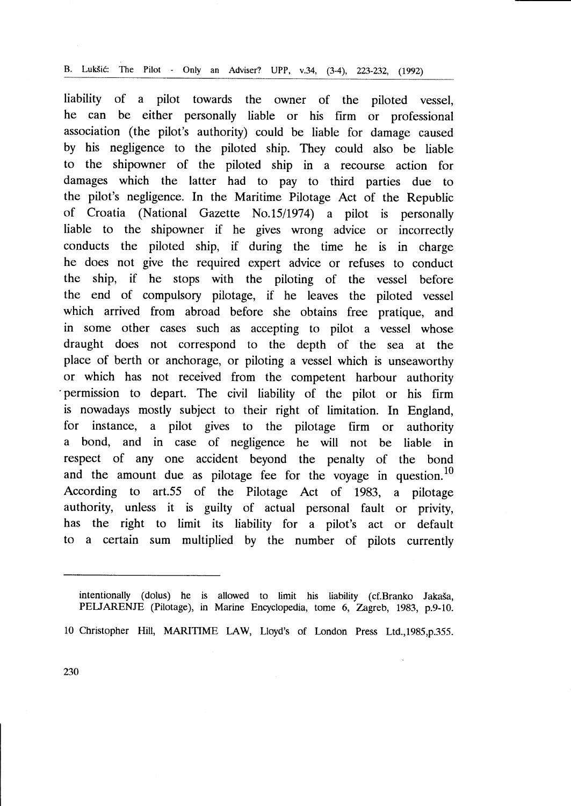liability of a pilot towards the owner of the piloted vessel, he can be either personally liable or his firm or professional association (the pilot's authority) could be liable for damage caused by his negligence to the piloted ship. They could also be liable to the shipowner of the piloted ship in a recourse action for damages which the latter had to pay to third parties due to the pilot's negligence. In the Maritime Pilotage Act of the Republic of Croatia (National Gazette No.15/1974) a pilot is personally liable to the shipowner if he gives wrong advice or incorrectly conducts the piloted ship, if during the time he is in charge he does not give the required expert advice or refuses to conduct the ship, if he stops with the piloting of the vessel before the end of compulsory pilotage, if he leaves the piloted vessel which arrived from abroad before she obtains free pratique, and in some other cases such as accepting to pilot a vessel whose draught does not correspond to the depth of the sea at the place of berth or anchorage, or piloting a vessel which is unseaworthy or which has not received from the competent harbour authority 'permission to depart. The civil liability of the pilot or his firm is nowadays mostly subject to their right of limitation. In England, for instance, a pilot gives to the pilotage firm or authority a bond, and in case of negligence he will not be liable in respect of any one accident beyond the penalty of the bond and the amount due as pilotage fee for the voyage in question.<sup>10</sup> According to art.55 of the Pilotage Act of 1983, a pilotage authority, unless it is guilty of actual personal fault or privity, has the right to limit its liability for a pilot's act or default to a certain sum multiplied by the number of pilots currently

intentionally (dolus) he is allowed to limit his liability (cf.Branko Jakaša PELJARENJE (Pilotage), in Marine Encyclopedia, tome 6, Zagreb, 1983, p.9-10.

<sup>10</sup>Christopher Hill, MARITIME LAW, Lloyd's of London Press Ltd.,1985,p.355.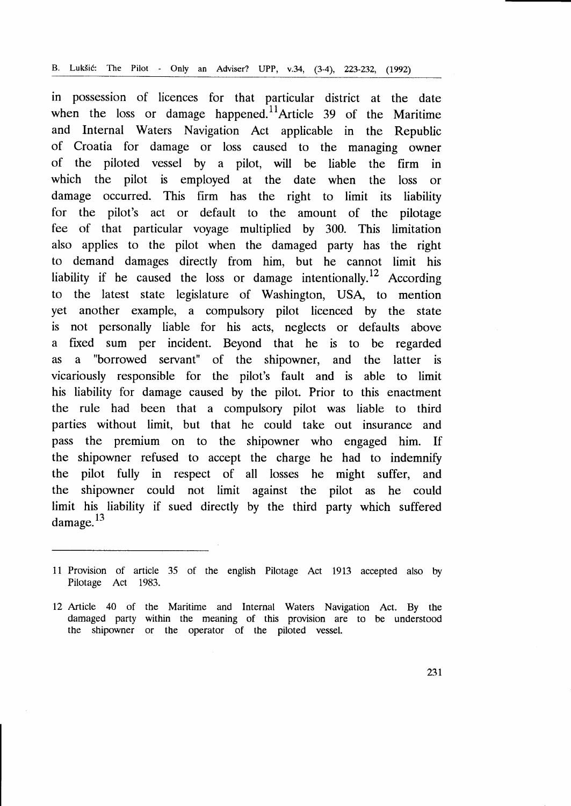in possession of licences for that particular district at the date when the loss or damage happened.<sup>11</sup> Article 39 of the Maritime and Internal Waters Navigation Act applicable in the Republic of Croatia for damage or loss caused to the managing owner of the piloted vessel by a pilot, will be liable the firm in which the pilot is employed at the date when the loss or damage occurred. This firm has the right to limit its liability for the pilot's act or default to the amount of the pilotage fee of that particular voyage multiplied by 300. This limitation also applies to the pilot when the damaged party has the right to demand damages directly from him, but he cannot limit his liability if he caused the loss or damage intentionally.<sup>12</sup> According to the latest state legislature of Washington, USA, to mention yet another example, a compulsory pilot licenced by the state is not personally liable for his acts, neglects or defaults above a tixed sum per incident. Beyond that he is to be regarded as a "borrowed servant" of the shipowner, and the latter is vicariously responsible for the pilot's fault and is able to limit his liability for damage caused by the pilot. Prior to this enactment the rule had been that a compulsory pilot was liable to third parties without limit, but that he could take out insurance and pass the premium on to the shipowner who engaged him. If the shipowner refused to accept the charge he had to indemnify the pilot fully in respect of all losses he might suffer, and the shipowner could not limit against the pilot as he could limit his liability if sued directly by the third party which suffered damage.<sup>13</sup>

<sup>11</sup>Provision of article 35 of the english Pilotage Act 1913 accepted also by Pilotage Act 1983.

<sup>12</sup>Article 40 of the Maritime and Internal Waters Navigation Act. By the damaged party within the meaning of this provision are to be understood the shipowner or the operator of the piloted vessel.